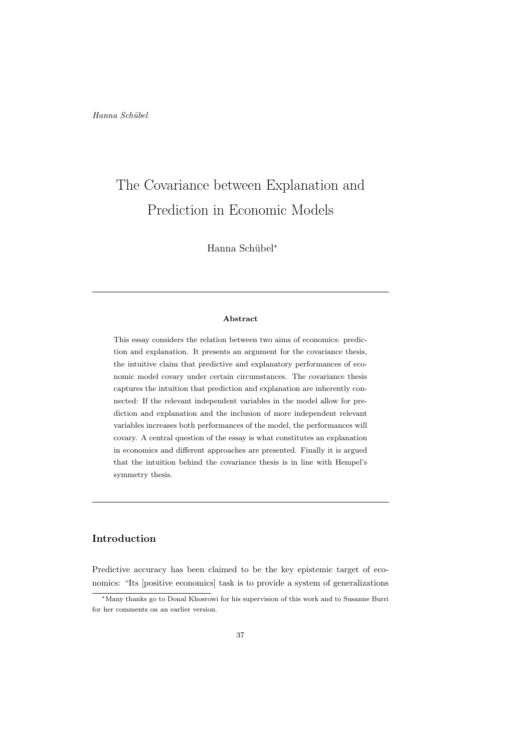Hanna Schübel<sup>\*</sup>

#### Abstract

This essay considers the relation between two aims of economics: prediction and explanation. It presents an argument for the covariance thesis, the intuitive claim that predictive and explanatory performances of economic model covary under certain circumstances. The covariance thesis captures the intuition that prediction and explanation are inherently connected: If the relevant independent variables in the model allow for prediction and explanation and the inclusion of more independent relevant variables increases both performances of the model, the performances will covary. A central question of the essay is what constitutes an explanation in economics and different approaches are presented. Finally it is argued that the intuition behind the covariance thesis is in line with Hempel's symmetry thesis.

# Introduction

Predictive accuracy has been claimed to be the key epistemic target of economics: "Its [positive economics] task is to provide a system of generalizations

<sup>∗</sup>Many thanks go to Donal Khosrowi for his supervision of this work and to Susanne Burri for her comments on an earlier version.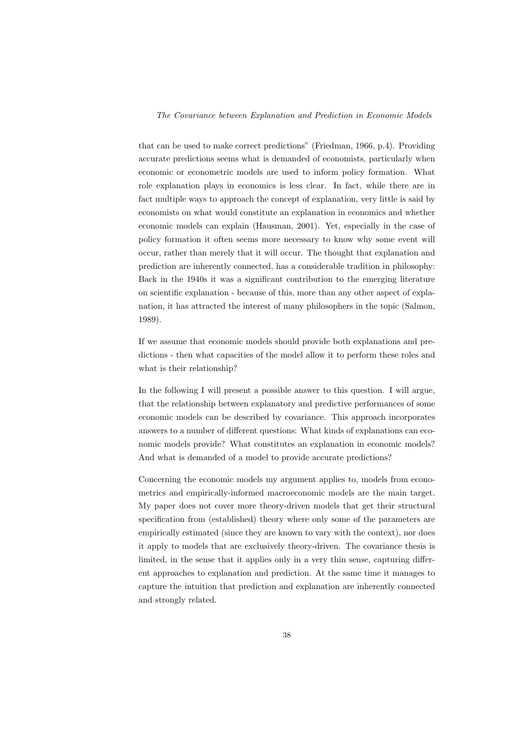that can be used to make correct predictions" (Friedman, 1966, p.4). Providing accurate predictions seems what is demanded of economists, particularly when economic or econometric models are used to inform policy formation. What role explanation plays in economics is less clear. In fact, while there are in fact multiple ways to approach the concept of explanation, very little is said by economists on what would constitute an explanation in economics and whether economic models can explain (Hausman, 2001). Yet, especially in the case of policy formation it often seems more necessary to know why some event will occur, rather than merely that it will occur. The thought that explanation and prediction are inherently connected, has a considerable tradition in philosophy: Back in the 1940s it was a significant contribution to the emerging literature on scientific explanation - because of this, more than any other aspect of explanation, it has attracted the interest of many philosophers in the topic (Salmon, 1989).

If we assume that economic models should provide both explanations and predictions - then what capacities of the model allow it to perform these roles and what is their relationship?

In the following I will present a possible answer to this question. I will argue, that the relationship between explanatory and predictive performances of some economic models can be described by covariance. This approach incorporates answers to a number of different questions: What kinds of explanations can economic models provide? What constitutes an explanation in economic models? And what is demanded of a model to provide accurate predictions?

Concerning the economic models my argument applies to, models from econometrics and empirically-informed macroeconomic models are the main target. My paper does not cover more theory-driven models that get their structural specification from (established) theory where only some of the parameters are empirically estimated (since they are known to vary with the context), nor does it apply to models that are exclusively theory-driven. The covariance thesis is limited, in the sense that it applies only in a very thin sense, capturing different approaches to explanation and prediction. At the same time it manages to capture the intuition that prediction and explanation are inherently connected and strongly related.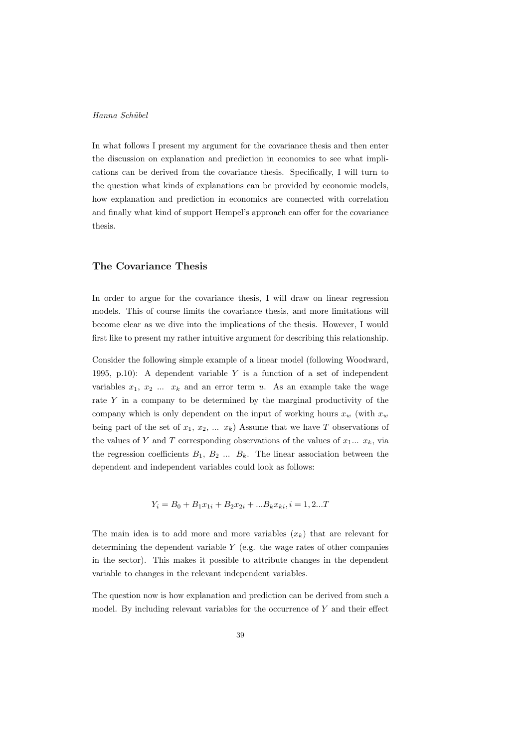In what follows I present my argument for the covariance thesis and then enter the discussion on explanation and prediction in economics to see what implications can be derived from the covariance thesis. Specifically, I will turn to the question what kinds of explanations can be provided by economic models, how explanation and prediction in economics are connected with correlation and finally what kind of support Hempel's approach can offer for the covariance thesis.

#### The Covariance Thesis

In order to argue for the covariance thesis, I will draw on linear regression models. This of course limits the covariance thesis, and more limitations will become clear as we dive into the implications of the thesis. However, I would first like to present my rather intuitive argument for describing this relationship.

Consider the following simple example of a linear model (following Woodward, 1995, p.10): A dependent variable  $Y$  is a function of a set of independent variables  $x_1, x_2, \ldots, x_k$  and an error term u. As an example take the wage rate <sup>Y</sup> in a company to be determined by the marginal productivity of the company which is only dependent on the input of working hours  $x_w$  (with  $x_w$ ) being part of the set of  $x_1, x_2, \ldots x_k$ ) Assume that we have T observations of the values of Y and T corresponding observations of the values of  $x_1... x_k$ , via the regression coefficients  $B_1, B_2, \ldots, B_k$ . The linear association between the dependent and independent variables could look as follows:

$$
Y_i = B_0 + B_1 x_{1i} + B_2 x_{2i} + \dots B_k x_{ki}, i = 1, 2...T
$$

The main idea is to add more and more variables  $(x_k)$  that are relevant for determining the dependent variable <sup>Y</sup> (e.g. the wage rates of other companies in the sector). This makes it possible to attribute changes in the dependent variable to changes in the relevant independent variables.

The question now is how explanation and prediction can be derived from such a model. By including relevant variables for the occurrence of <sup>Y</sup> and their effect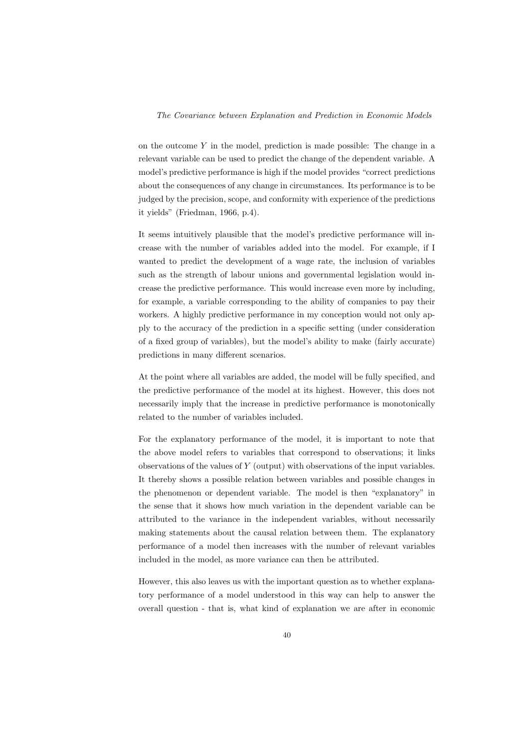on the outcome  $Y$  in the model, prediction is made possible: The change in a relevant variable can be used to predict the change of the dependent variable. A model's predictive performance is high if the model provides "correct predictions about the consequences of any change in circumstances. Its performance is to be judged by the precision, scope, and conformity with experience of the predictions it yields" (Friedman, 1966, p.4).

It seems intuitively plausible that the model's predictive performance will increase with the number of variables added into the model. For example, if I wanted to predict the development of a wage rate, the inclusion of variables such as the strength of labour unions and governmental legislation would increase the predictive performance. This would increase even more by including, for example, a variable corresponding to the ability of companies to pay their workers. A highly predictive performance in my conception would not only apply to the accuracy of the prediction in a specific setting (under consideration of a fixed group of variables), but the model's ability to make (fairly accurate) predictions in many different scenarios.

At the point where all variables are added, the model will be fully specified, and the predictive performance of the model at its highest. However, this does not necessarily imply that the increase in predictive performance is monotonically related to the number of variables included.

For the explanatory performance of the model, it is important to note that the above model refers to variables that correspond to observations; it links observations of the values of <sup>Y</sup> (output) with observations of the input variables. It thereby shows a possible relation between variables and possible changes in the phenomenon or dependent variable. The model is then "explanatory" in the sense that it shows how much variation in the dependent variable can be attributed to the variance in the independent variables, without necessarily making statements about the causal relation between them. The explanatory performance of a model then increases with the number of relevant variables included in the model, as more variance can then be attributed.

However, this also leaves us with the important question as to whether explanatory performance of a model understood in this way can help to answer the overall question - that is, what kind of explanation we are after in economic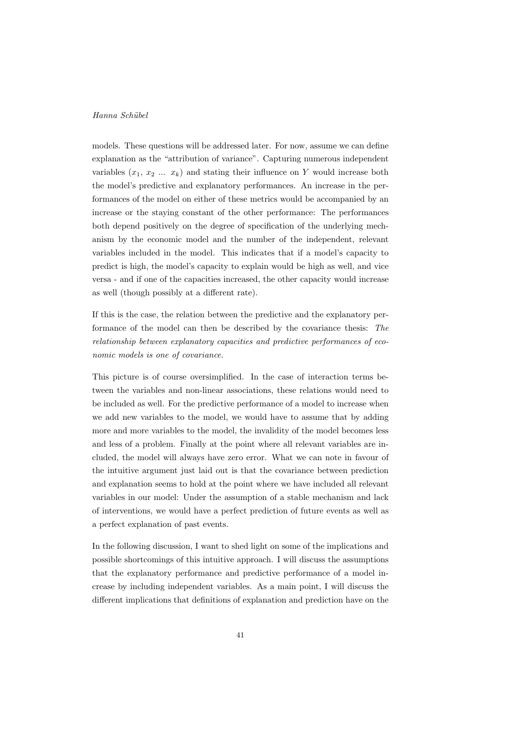models. These questions will be addressed later. For now, assume we can define explanation as the "attribution of variance". Capturing numerous independent variables  $(x_1, x_2, \ldots, x_k)$  and stating their influence on Y would increase both the model's predictive and explanatory performances. An increase in the performances of the model on either of these metrics would be accompanied by an increase or the staying constant of the other performance: The performances both depend positively on the degree of specification of the underlying mechanism by the economic model and the number of the independent, relevant variables included in the model. This indicates that if a model's capacity to predict is high, the model's capacity to explain would be high as well, and vice versa - and if one of the capacities increased, the other capacity would increase as well (though possibly at a different rate).

If this is the case, the relation between the predictive and the explanatory performance of the model can then be described by the covariance thesis: The relationship between explanatory capacities and predictive performances of economic models is one of covariance.

This picture is of course oversimplified. In the case of interaction terms between the variables and non-linear associations, these relations would need to be included as well. For the predictive performance of a model to increase when we add new variables to the model, we would have to assume that by adding more and more variables to the model, the invalidity of the model becomes less and less of a problem. Finally at the point where all relevant variables are included, the model will always have zero error. What we can note in favour of the intuitive argument just laid out is that the covariance between prediction and explanation seems to hold at the point where we have included all relevant variables in our model: Under the assumption of a stable mechanism and lack of interventions, we would have a perfect prediction of future events as well as a perfect explanation of past events.

In the following discussion, I want to shed light on some of the implications and possible shortcomings of this intuitive approach. I will discuss the assumptions that the explanatory performance and predictive performance of a model increase by including independent variables. As a main point, I will discuss the different implications that definitions of explanation and prediction have on the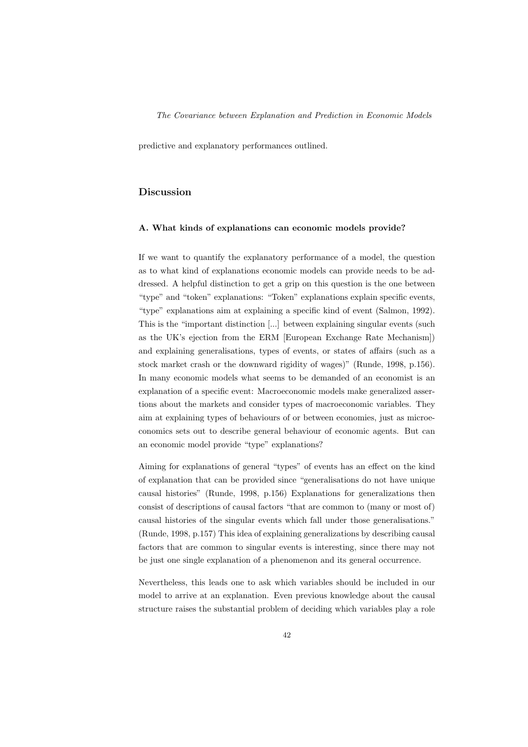predictive and explanatory performances outlined.

# Discussion

#### A. What kinds of explanations can economic models provide?

If we want to quantify the explanatory performance of a model, the question as to what kind of explanations economic models can provide needs to be addressed. A helpful distinction to get a grip on this question is the one between "type" and "token" explanations: "Token" explanations explain specific events, "type" explanations aim at explaining a specific kind of event (Salmon, 1992). This is the "important distinction [...] between explaining singular events (such as the UK's ejection from the ERM [European Exchange Rate Mechanism]) and explaining generalisations, types of events, or states of affairs (such as a stock market crash or the downward rigidity of wages)" (Runde, 1998, p.156). In many economic models what seems to be demanded of an economist is an explanation of a specific event: Macroeconomic models make generalized assertions about the markets and consider types of macroeconomic variables. They aim at explaining types of behaviours of or between economies, just as microeconomics sets out to describe general behaviour of economic agents. But can an economic model provide "type" explanations?

Aiming for explanations of general "types" of events has an effect on the kind of explanation that can be provided since "generalisations do not have unique causal histories" (Runde, 1998, p.156) Explanations for generalizations then consist of descriptions of causal factors "that are common to (many or most of) causal histories of the singular events which fall under those generalisations." (Runde, 1998, p.157) This idea of explaining generalizations by describing causal factors that are common to singular events is interesting, since there may not be just one single explanation of a phenomenon and its general occurrence.

Nevertheless, this leads one to ask which variables should be included in our model to arrive at an explanation. Even previous knowledge about the causal structure raises the substantial problem of deciding which variables play a role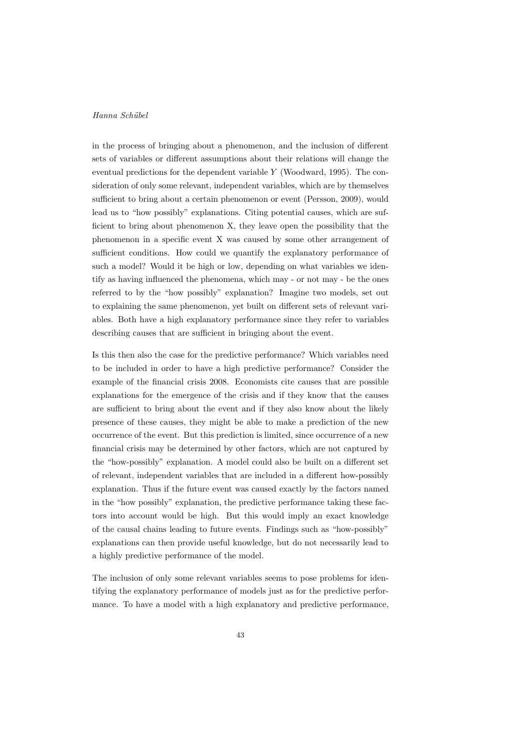in the process of bringing about a phenomenon, and the inclusion of different sets of variables or different assumptions about their relations will change the eventual predictions for the dependent variable <sup>Y</sup> (Woodward, 1995). The consideration of only some relevant, independent variables, which are by themselves sufficient to bring about a certain phenomenon or event (Persson, 2009), would lead us to "how possibly" explanations. Citing potential causes, which are sufficient to bring about phenomenon X, they leave open the possibility that the phenomenon in a specific event X was caused by some other arrangement of sufficient conditions. How could we quantify the explanatory performance of such a model? Would it be high or low, depending on what variables we identify as having influenced the phenomena, which may - or not may - be the ones referred to by the "how possibly" explanation? Imagine two models, set out to explaining the same phenomenon, yet built on different sets of relevant variables. Both have a high explanatory performance since they refer to variables describing causes that are sufficient in bringing about the event.

Is this then also the case for the predictive performance? Which variables need to be included in order to have a high predictive performance? Consider the example of the financial crisis 2008. Economists cite causes that are possible explanations for the emergence of the crisis and if they know that the causes are sufficient to bring about the event and if they also know about the likely presence of these causes, they might be able to make a prediction of the new occurrence of the event. But this prediction is limited, since occurrence of a new financial crisis may be determined by other factors, which are not captured by the "how-possibly" explanation. A model could also be built on a different set of relevant, independent variables that are included in a different how-possibly explanation. Thus if the future event was caused exactly by the factors named in the "how possibly" explanation, the predictive performance taking these factors into account would be high. But this would imply an exact knowledge of the causal chains leading to future events. Findings such as "how-possibly" explanations can then provide useful knowledge, but do not necessarily lead to a highly predictive performance of the model.

The inclusion of only some relevant variables seems to pose problems for identifying the explanatory performance of models just as for the predictive performance. To have a model with a high explanatory and predictive performance,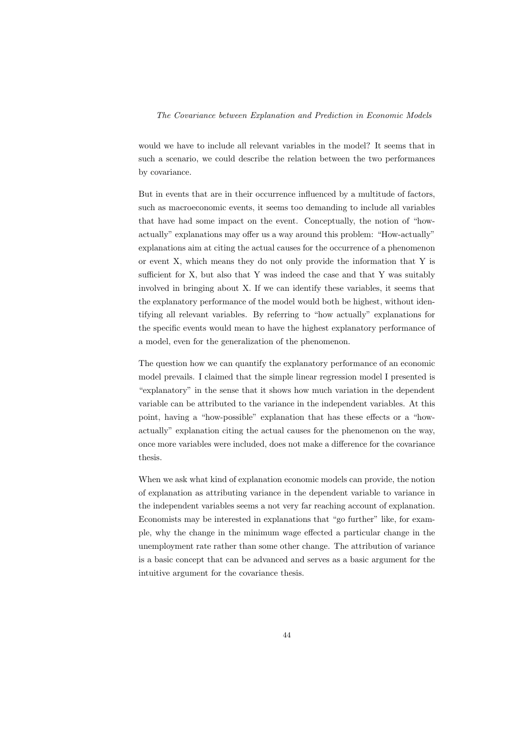would we have to include all relevant variables in the model? It seems that in such a scenario, we could describe the relation between the two performances by covariance.

But in events that are in their occurrence influenced by a multitude of factors, such as macroeconomic events, it seems too demanding to include all variables that have had some impact on the event. Conceptually, the notion of "howactually" explanations may offer us a way around this problem: "How-actually" explanations aim at citing the actual causes for the occurrence of a phenomenon or event X, which means they do not only provide the information that Y is sufficient for X, but also that Y was indeed the case and that Y was suitably involved in bringing about X. If we can identify these variables, it seems that the explanatory performance of the model would both be highest, without identifying all relevant variables. By referring to "how actually" explanations for the specific events would mean to have the highest explanatory performance of a model, even for the generalization of the phenomenon.

The question how we can quantify the explanatory performance of an economic model prevails. I claimed that the simple linear regression model I presented is "explanatory" in the sense that it shows how much variation in the dependent variable can be attributed to the variance in the independent variables. At this point, having a "how-possible" explanation that has these effects or a "howactually" explanation citing the actual causes for the phenomenon on the way, once more variables were included, does not make a difference for the covariance thesis.

When we ask what kind of explanation economic models can provide, the notion of explanation as attributing variance in the dependent variable to variance in the independent variables seems a not very far reaching account of explanation. Economists may be interested in explanations that "go further" like, for example, why the change in the minimum wage effected a particular change in the unemployment rate rather than some other change. The attribution of variance is a basic concept that can be advanced and serves as a basic argument for the intuitive argument for the covariance thesis.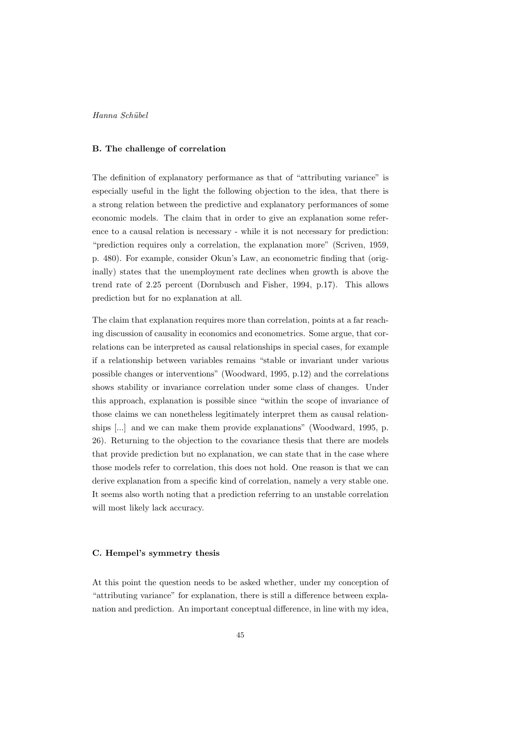#### B. The challenge of correlation

The definition of explanatory performance as that of "attributing variance" is especially useful in the light the following objection to the idea, that there is a strong relation between the predictive and explanatory performances of some economic models. The claim that in order to give an explanation some reference to a causal relation is necessary - while it is not necessary for prediction: "prediction requires only a correlation, the explanation more" (Scriven, 1959, p. 480). For example, consider Okun's Law, an econometric finding that (originally) states that the unemployment rate declines when growth is above the trend rate of 2.25 percent (Dornbusch and Fisher, 1994, p.17). This allows prediction but for no explanation at all.

The claim that explanation requires more than correlation, points at a far reaching discussion of causality in economics and econometrics. Some argue, that correlations can be interpreted as causal relationships in special cases, for example if a relationship between variables remains "stable or invariant under various possible changes or interventions" (Woodward, 1995, p.12) and the correlations shows stability or invariance correlation under some class of changes. Under this approach, explanation is possible since "within the scope of invariance of those claims we can nonetheless legitimately interpret them as causal relationships [...] and we can make them provide explanations" (Woodward, 1995, p. 26). Returning to the objection to the covariance thesis that there are models that provide prediction but no explanation, we can state that in the case where those models refer to correlation, this does not hold. One reason is that we can derive explanation from a specific kind of correlation, namely a very stable one. It seems also worth noting that a prediction referring to an unstable correlation will most likely lack accuracy.

#### C. Hempel's symmetry thesis

At this point the question needs to be asked whether, under my conception of "attributing variance" for explanation, there is still a difference between explanation and prediction. An important conceptual difference, in line with my idea,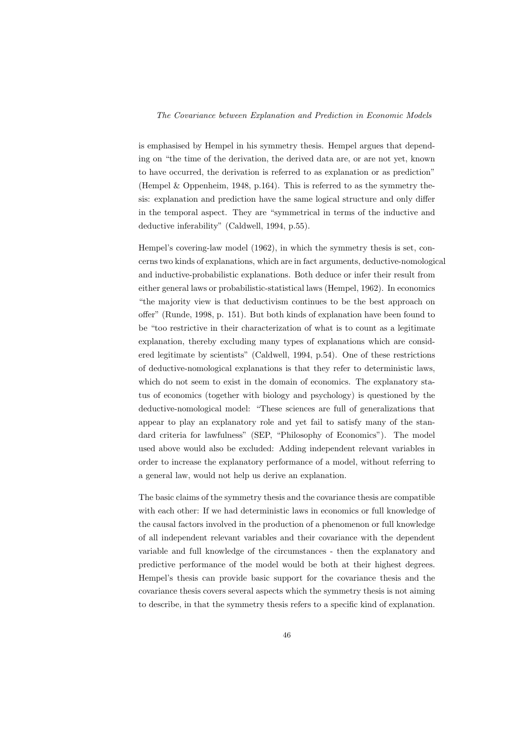is emphasised by Hempel in his symmetry thesis. Hempel argues that depending on "the time of the derivation, the derived data are, or are not yet, known to have occurred, the derivation is referred to as explanation or as prediction" (Hempel & Oppenheim, 1948, p.164). This is referred to as the symmetry thesis: explanation and prediction have the same logical structure and only differ in the temporal aspect. They are "symmetrical in terms of the inductive and deductive inferability" (Caldwell, 1994, p.55).

Hempel's covering-law model (1962), in which the symmetry thesis is set, concerns two kinds of explanations, which are in fact arguments, deductive-nomological and inductive-probabilistic explanations. Both deduce or infer their result from either general laws or probabilistic-statistical laws (Hempel, 1962). In economics "the majority view is that deductivism continues to be the best approach on offer" (Runde, 1998, p. 151). But both kinds of explanation have been found to be "too restrictive in their characterization of what is to count as a legitimate explanation, thereby excluding many types of explanations which are considered legitimate by scientists" (Caldwell, 1994, p.54). One of these restrictions of deductive-nomological explanations is that they refer to deterministic laws, which do not seem to exist in the domain of economics. The explanatory status of economics (together with biology and psychology) is questioned by the deductive-nomological model: "These sciences are full of generalizations that appear to play an explanatory role and yet fail to satisfy many of the standard criteria for lawfulness" (SEP, "Philosophy of Economics"). The model used above would also be excluded: Adding independent relevant variables in order to increase the explanatory performance of a model, without referring to a general law, would not help us derive an explanation.

The basic claims of the symmetry thesis and the covariance thesis are compatible with each other: If we had deterministic laws in economics or full knowledge of the causal factors involved in the production of a phenomenon or full knowledge of all independent relevant variables and their covariance with the dependent variable and full knowledge of the circumstances - then the explanatory and predictive performance of the model would be both at their highest degrees. Hempel's thesis can provide basic support for the covariance thesis and the covariance thesis covers several aspects which the symmetry thesis is not aiming to describe, in that the symmetry thesis refers to a specific kind of explanation.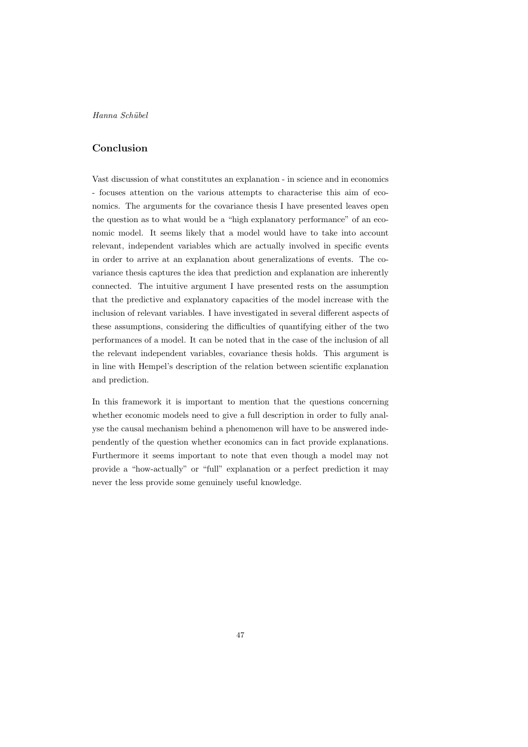# Conclusion

Vast discussion of what constitutes an explanation - in science and in economics - focuses attention on the various attempts to characterise this aim of economics. The arguments for the covariance thesis I have presented leaves open the question as to what would be a "high explanatory performance" of an economic model. It seems likely that a model would have to take into account relevant, independent variables which are actually involved in specific events in order to arrive at an explanation about generalizations of events. The covariance thesis captures the idea that prediction and explanation are inherently connected. The intuitive argument I have presented rests on the assumption that the predictive and explanatory capacities of the model increase with the inclusion of relevant variables. I have investigated in several different aspects of these assumptions, considering the difficulties of quantifying either of the two performances of a model. It can be noted that in the case of the inclusion of all the relevant independent variables, covariance thesis holds. This argument is in line with Hempel's description of the relation between scientific explanation and prediction.

In this framework it is important to mention that the questions concerning whether economic models need to give a full description in order to fully analyse the causal mechanism behind a phenomenon will have to be answered independently of the question whether economics can in fact provide explanations. Furthermore it seems important to note that even though a model may not provide a "how-actually" or "full" explanation or a perfect prediction it may never the less provide some genuinely useful knowledge.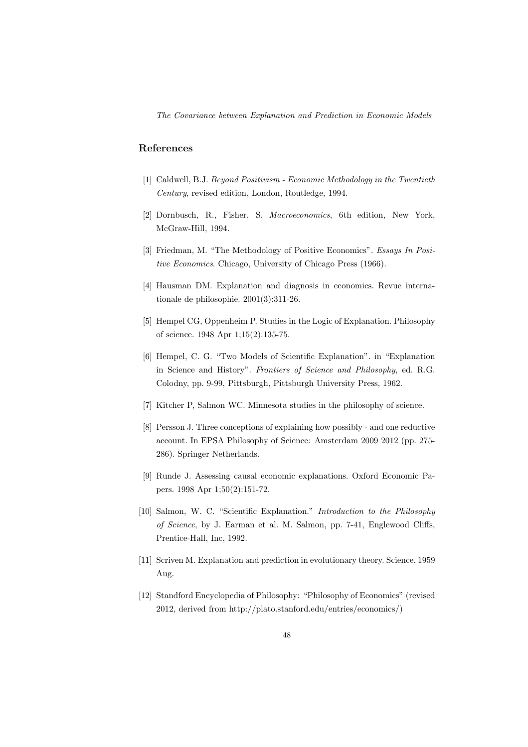# References

- [1] Caldwell, B.J. Beyond Positivism Economic Methodology in the Twentieth Century, revised edition, London, Routledge, 1994.
- [2] Dornbusch, R., Fisher, S. Macroeconomics, 6th edition, New York, McGraw-Hill, 1994.
- [3] Friedman, M. "The Methodology of Positive Economics". Essays In Positive Economics. Chicago, University of Chicago Press (1966).
- [4] Hausman DM. Explanation and diagnosis in economics. Revue internationale de philosophie. 2001(3):311-26.
- [5] Hempel CG, Oppenheim P. Studies in the Logic of Explanation. Philosophy of science. 1948 Apr 1;15(2):135-75.
- [6] Hempel, C. G. "Two Models of Scientific Explanation". in "Explanation in Science and History". Frontiers of Science and Philosophy, ed. R.G. Colodny, pp. 9-99, Pittsburgh, Pittsburgh University Press, 1962.
- [7] Kitcher P, Salmon WC. Minnesota studies in the philosophy of science.
- [8] Persson J. Three conceptions of explaining how possibly and one reductive account. In EPSA Philosophy of Science: Amsterdam 2009 2012 (pp. 275- 286). Springer Netherlands.
- [9] Runde J. Assessing causal economic explanations. Oxford Economic Papers. 1998 Apr 1;50(2):151-72.
- [10] Salmon, W. C. "Scientific Explanation." Introduction to the Philosophy of Science, by J. Earman et al. M. Salmon, pp. 7-41, Englewood Cliffs, Prentice-Hall, Inc, 1992.
- [11] Scriven M. Explanation and prediction in evolutionary theory. Science. 1959 Aug.
- [12] Standford Encyclopedia of Philosophy: "Philosophy of Economics" (revised 2012, derived from http://plato.stanford.edu/entries/economics/)